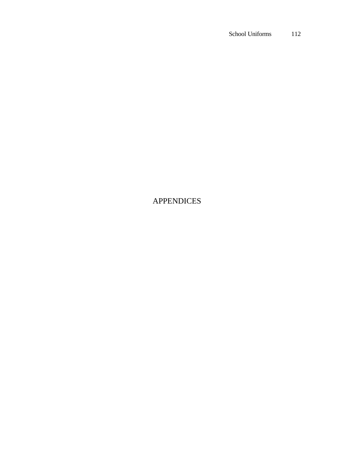## APPENDICES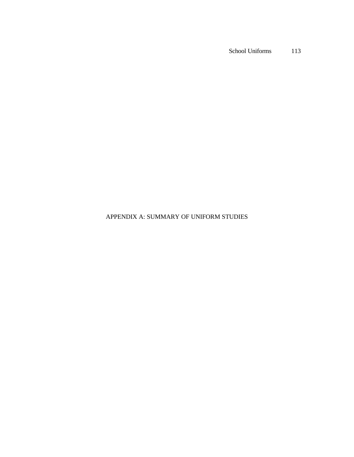## APPENDIX A: SUMMARY OF UNIFORM STUDIES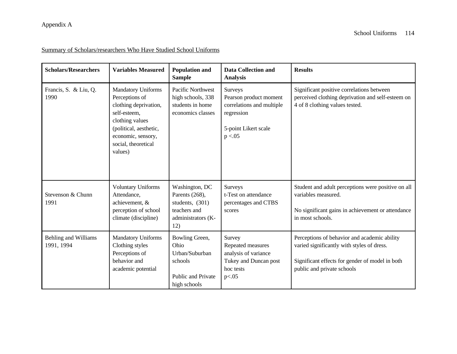### Summary of Scholars/researchers Who Have Studied School Uniforms

| <b>Scholars/Researchers</b>               | <b>Variables Measured</b>                                                                                                                                                                 | <b>Population and</b><br><b>Sample</b>                                                           | <b>Data Collection and</b><br><b>Analysis</b>                                                                           | <b>Results</b>                                                                                                                                                              |
|-------------------------------------------|-------------------------------------------------------------------------------------------------------------------------------------------------------------------------------------------|--------------------------------------------------------------------------------------------------|-------------------------------------------------------------------------------------------------------------------------|-----------------------------------------------------------------------------------------------------------------------------------------------------------------------------|
| Francis, S. & Liu, Q.<br>1990             | <b>Mandatory Uniforms</b><br>Perceptions of<br>clothing deprivation,<br>self-esteem,<br>clothing values<br>(political, aesthetic,<br>economic, sensory,<br>social, theoretical<br>values) | Pacific Northwest<br>high schools, 338<br>students in home<br>economics classes                  | <b>Surveys</b><br>Pearson product moment<br>correlations and multiple<br>regression<br>5-point Likert scale<br>p < 0.05 | Significant positive correlations between<br>perceived clothing deprivation and self-esteem on<br>4 of 8 clothing values tested.                                            |
| Stevenson & Chunn<br>1991                 | <b>Voluntary Uniforms</b><br>Attendance,<br>achievement, &<br>perception of school<br>climate (discipline)                                                                                | Washington, DC<br>Parents (268),<br>students, (301)<br>teachers and<br>administrators (K-<br>12) | <b>Surveys</b><br>t-Test on attendance<br>percentages and CTBS<br>scores                                                | Student and adult perceptions were positive on all<br>variables measured.<br>No significant gains in achievement or attendance<br>in most schools.                          |
| <b>Behling and Williams</b><br>1991, 1994 | <b>Mandatory Uniforms</b><br>Clothing styles<br>Perceptions of<br>behavior and<br>academic potential                                                                                      | Bowling Green,<br>Ohio<br>Urban/Suburban<br>schools<br>Public and Private<br>high schools        | Survey<br>Repeated measures<br>analysis of variance<br>Tukey and Duncan post<br>hoc tests<br>p<.05                      | Perceptions of behavior and academic ability<br>varied significantly with styles of dress.<br>Significant effects for gender of model in both<br>public and private schools |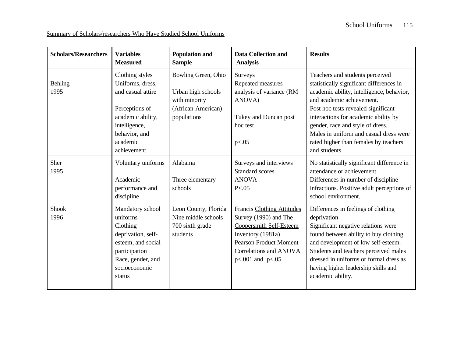Summary of Scholars/researchers Who Have Studied School Uniforms

| <b>Scholars/Researchers</b> | <b>Variables</b><br><b>Measured</b>                                                                                                                          | <b>Population and</b><br><b>Sample</b>                                                          | <b>Data Collection and</b><br><b>Analysis</b>                                                                                                                                               | <b>Results</b>                                                                                                                                                                                                                                                                                                                                                               |
|-----------------------------|--------------------------------------------------------------------------------------------------------------------------------------------------------------|-------------------------------------------------------------------------------------------------|---------------------------------------------------------------------------------------------------------------------------------------------------------------------------------------------|------------------------------------------------------------------------------------------------------------------------------------------------------------------------------------------------------------------------------------------------------------------------------------------------------------------------------------------------------------------------------|
| <b>Behling</b><br>1995      | Clothing styles<br>Uniforms, dress,<br>and casual attire<br>Perceptions of<br>academic ability,<br>intelligence,<br>behavior, and<br>academic<br>achievement | Bowling Green, Ohio<br>Urban high schools<br>with minority<br>(African-American)<br>populations | Surveys<br>Repeated measures<br>analysis of variance (RM<br>ANOVA)<br>Tukey and Duncan post<br>hoc test<br>p<.05                                                                            | Teachers and students perceived<br>statistically significant differences in<br>academic ability, intelligence, behavior,<br>and academic achievement.<br>Post hoc tests revealed significant<br>interactions for academic ability by<br>gender, race and style of dress.<br>Males in uniform and casual dress were<br>rated higher than females by teachers<br>and students. |
| Sher<br>1995                | Voluntary uniforms<br>Academic<br>performance and<br>discipline                                                                                              | Alabama<br>Three elementary<br>schools                                                          | Surveys and interviews<br><b>Standard scores</b><br><b>ANOVA</b><br>P < 0.05                                                                                                                | No statistically significant difference in<br>attendance or achievement.<br>Differences in number of discipline<br>infractions. Positive adult perceptions of<br>school environment.                                                                                                                                                                                         |
| Shook<br>1996               | Mandatory school<br>uniforms<br>Clothing<br>deprivation, self-<br>esteem, and social<br>participation<br>Race, gender, and<br>socioeconomic<br>status        | Leon County, Florida<br>Nine middle schools<br>700 sixth grade<br>students                      | Francis Clothing Attitudes<br>Survey (1990) and The<br><b>Coopersmith Self-Esteem</b><br>Inventory $(1981a)$<br><b>Pearson Product Moment</b><br>Correlations and ANOVA<br>p<.001 and p<.05 | Differences in feelings of clothing<br>deprivation<br>Significant negative relations were<br>found between ability to buy clothing<br>and development of low self-esteem.<br>Students and teachers perceived males<br>dressed in uniforms or formal dress as<br>having higher leadership skills and<br>academic ability.                                                     |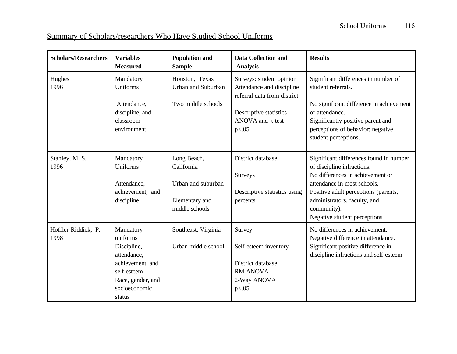# Summary of Scholars/researchers Who Have Studied School Uniforms

| <b>Scholars/Researchers</b> | <b>Variables</b><br><b>Measured</b>                                                                                                    | <b>Population and</b><br><b>Sample</b>                                              | <b>Data Collection and</b><br><b>Analysis</b>                                                                                               | <b>Results</b>                                                                                                                                                                                                                                                   |
|-----------------------------|----------------------------------------------------------------------------------------------------------------------------------------|-------------------------------------------------------------------------------------|---------------------------------------------------------------------------------------------------------------------------------------------|------------------------------------------------------------------------------------------------------------------------------------------------------------------------------------------------------------------------------------------------------------------|
| Hughes<br>1996              | Mandatory<br>Uniforms<br>Attendance,<br>discipline, and<br>classroom<br>environment                                                    | Houston, Texas<br>Urban and Suburban<br>Two middle schools                          | Surveys: student opinion<br>Attendance and discipline<br>referral data from district<br>Descriptive statistics<br>ANOVA and t-test<br>p<.05 | Significant differences in number of<br>student referrals.<br>No significant difference in achievement<br>or attendance.<br>Significantly positive parent and<br>perceptions of behavior; negative<br>student perceptions.                                       |
| Stanley, M. S.<br>1996      | Mandatory<br>Uniforms<br>Attendance,<br>achievement, and<br>discipline                                                                 | Long Beach,<br>California<br>Urban and suburban<br>Elementary and<br>middle schools | District database<br>Surveys<br>Descriptive statistics using<br>percents                                                                    | Significant differences found in number<br>of discipline infractions.<br>No differences in achievement or<br>attendance in most schools.<br>Positive adult perceptions (parents,<br>administrators, faculty, and<br>community).<br>Negative student perceptions. |
| Hoffler-Riddick, P.<br>1998 | Mandatory<br>uniforms<br>Discipline,<br>attendance,<br>achievement, and<br>self-esteem<br>Race, gender, and<br>socioeconomic<br>status | Southeast, Virginia<br>Urban middle school                                          | Survey<br>Self-esteem inventory<br>District database<br><b>RM ANOVA</b><br>2-Way ANOVA<br>p<.05                                             | No differences in achievement.<br>Negative difference in attendance.<br>Significant positive difference in<br>discipline infractions and self-esteem                                                                                                             |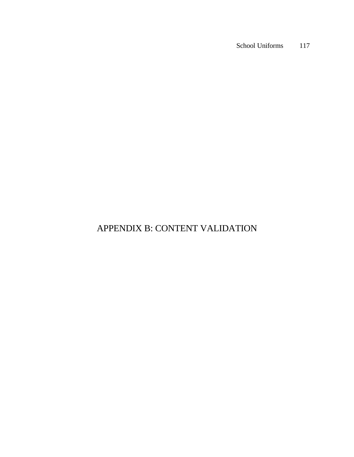# APPENDIX B: CONTENT VALIDATION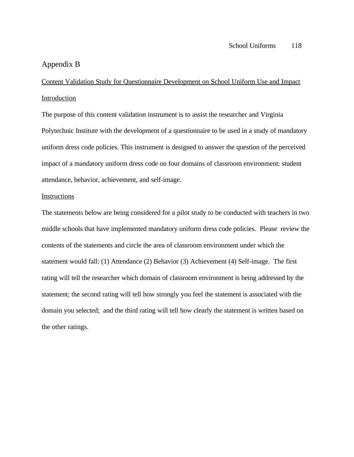### Appendix B

Content Validation Study for Questionnaire Development on School Uniform Use and Impact **Introduction** 

The purpose of this content validation instrument is to assist the researcher and Virginia Polytechnic Institute with the development of a questionnaire to be used in a study of mandatory uniform dress code policies. This instrument is designed to answer the question of the perceived impact of a mandatory uniform dress code on four domains of classroom environment: student attendance, behavior, achievement, and self-image.

### Instructions

The statements below are being considered for a pilot study to be conducted with teachers in two middle schools that have implemented mandatory uniform dress code policies. Please review the contents of the statements and circle the area of classroom environment under which the statement would fall: (1) Attendance (2) Behavior (3) Achievement (4) Self-image. The first rating will tell the researcher which domain of classroom environment is being addressed by the statement; the second rating will tell how strongly you feel the statement is associated with the domain you selected; and the third rating will tell how clearly the statement is written based on the other ratings.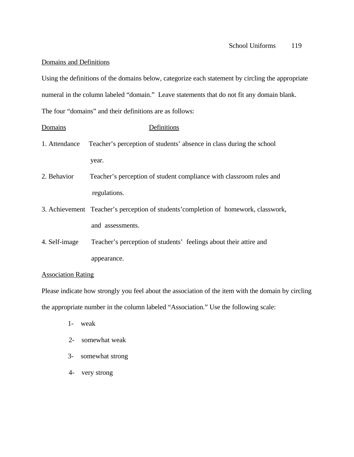### Domains and Definitions

Using the definitions of the domains below, categorize each statement by circling the appropriate numeral in the column labeled "domain." Leave statements that do not fit any domain blank. The four "domains" and their definitions are as follows:

| Domains                   | Definitions                                                                         |
|---------------------------|-------------------------------------------------------------------------------------|
| 1. Attendance             | Teacher's perception of students' absence in class during the school                |
|                           | year.                                                                               |
| 2. Behavior               | Teacher's perception of student compliance with classroom rules and                 |
|                           | regulations.                                                                        |
|                           | 3. Achievement Teacher's perception of students' completion of homework, classwork, |
|                           | and assessments.                                                                    |
| 4. Self-image             | Teacher's perception of students' feelings about their attire and                   |
|                           | appearance.                                                                         |
| <b>Association Rating</b> |                                                                                     |

Please indicate how strongly you feel about the association of the item with the domain by circling the appropriate number in the column labeled "Association." Use the following scale:

- 1- weak
- 2- somewhat weak
- 3- somewhat strong
- 4- very strong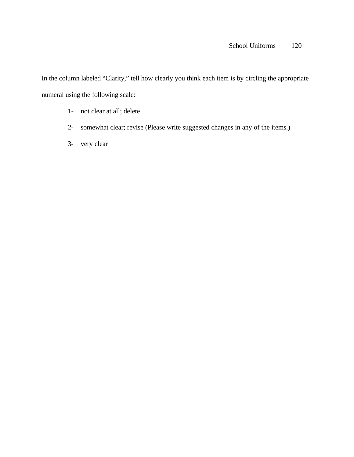In the column labeled "Clarity," tell how clearly you think each item is by circling the appropriate numeral using the following scale:

- 1- not clear at all; delete
- 2- somewhat clear; revise (Please write suggested changes in any of the items.)
- 3- very clear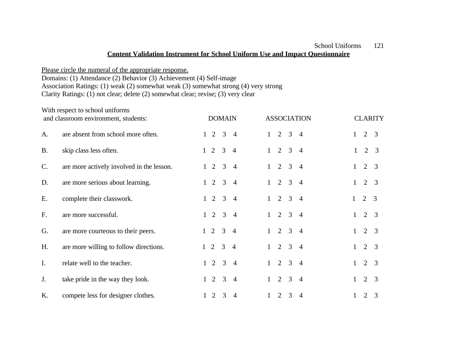## **Content Validation Instrument for School Uniform Use and Impact Questionnaire**

Please circle the numeral of the appropriate response. Domains: (1) Attendance (2) Behavior (3) Achievement (4) Self-image Association Ratings: (1) weak (2) somewhat weak (3) somewhat strong (4) very strong Clarity Ratings: (1) not clear; delete (2) somewhat clear; revise; (3) very clear

|           | With respect to school uniforms<br>and classroom environment, students: |              |                | <b>DOMAIN</b>  |                |              |                |                | <b>ASSOCIATION</b> |              |                | <b>CLARITY</b> |
|-----------|-------------------------------------------------------------------------|--------------|----------------|----------------|----------------|--------------|----------------|----------------|--------------------|--------------|----------------|----------------|
| A.        | are absent from school more often.                                      |              | 2              | $\mathfrak{Z}$ | $\overline{4}$ |              | $\overline{2}$ | $\mathbf{3}$   | $\overline{4}$     | $\mathbf 1$  | 2              | $\overline{3}$ |
| <b>B.</b> | skip class less often.                                                  | $\mathbf{1}$ | $\overline{2}$ | $\overline{3}$ | $\overline{4}$ | $\mathbf{1}$ | $\overline{2}$ | $\mathfrak{Z}$ | $\overline{4}$     | $\mathbf{1}$ | $\overline{2}$ | 3              |
| C.        | are more actively involved in the lesson.                               |              | 2              | $\overline{3}$ | $\overline{4}$ | $\mathbf{1}$ | $\overline{2}$ | $\mathcal{E}$  | $\overline{4}$     | 1            | 2              | $\overline{3}$ |
| D.        | are more serious about learning.                                        |              | 2              | $\overline{3}$ | $\overline{4}$ | $\mathbf{1}$ | 2              | $\overline{3}$ | $\overline{4}$     |              | 2              | $\overline{3}$ |
| E.        | complete their classwork.                                               |              | 2              | $\overline{3}$ | $\overline{4}$ | $\mathbf{1}$ | $\overline{2}$ | $\overline{3}$ | $\overline{4}$     |              | $\overline{2}$ | $\overline{3}$ |
| F.        | are more successful.                                                    | $\mathbf{1}$ | 2              | $\overline{3}$ | $\overline{4}$ | $\mathbf{1}$ | $\overline{2}$ | $\mathbf{3}$   | $\overline{4}$     | $\mathbf{1}$ | 2              | $\overline{3}$ |
| G.        | are more courteous to their peers.                                      | $\mathbf{1}$ | 2              | $\overline{3}$ | $\overline{4}$ | $\mathbf{1}$ | 2              | $\mathbf{3}$   | $\overline{4}$     | 1            | $\overline{2}$ | 3              |
| H.        | are more willing to follow directions.                                  | 1            | 2              | 3              | $\overline{4}$ | $\mathbf{1}$ | $\overline{2}$ | $\mathfrak{Z}$ | $\overline{4}$     | $\mathbf 1$  | $\overline{2}$ | 3              |
| I.        | relate well to the teacher.                                             | $\mathbf{1}$ | 2              | 3              | $\overline{4}$ | $\mathbf{1}$ | $\overline{2}$ | $\mathfrak{Z}$ | $\overline{4}$     | $\mathbf 1$  | $\overline{2}$ | $\overline{3}$ |
| J.        | take pride in the way they look.                                        |              | 2              | 3              | $\overline{4}$ |              | $\overline{2}$ | 3              | $\overline{4}$     | 1            | $\overline{2}$ | 3              |
| K.        | compete less for designer clothes.                                      |              | 2              | 3              | $\overline{4}$ | $\mathbf{1}$ | 2              | $\overline{3}$ | $\overline{4}$     | $\mathbf{1}$ | 2              | 3              |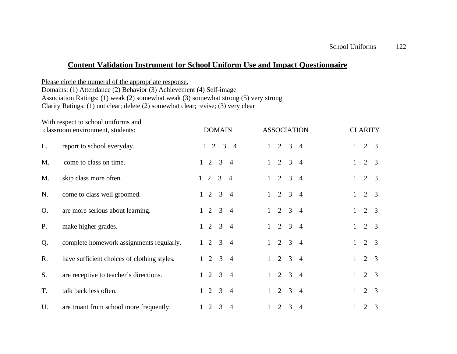## **Content Validation Instrument for School Uniform Use and Impact Questionnaire**

Please circle the numeral of the appropriate response. Domains: (1) Attendance (2) Behavior (3) Achievement (4) Self-image Association Ratings: (1) weak (2) somewhat weak (3) somewhat strong (5) very strong Clarity Ratings: (1) not clear; delete (2) somewhat clear; revise; (3) very clear

|           | With respect to school uniforms and<br>classroom environment, students: | <b>DOMAIN</b>                                         | <b>ASSOCIATION</b>                                                 | <b>CLARITY</b>                      |
|-----------|-------------------------------------------------------------------------|-------------------------------------------------------|--------------------------------------------------------------------|-------------------------------------|
| L.        | report to school everyday.                                              | 2<br>$\mathfrak{Z}$<br>$\mathbf{1}$<br>$\overline{4}$ | $\overline{2}$<br>$\mathfrak{Z}$<br>$\mathbf{1}$<br>$\overline{4}$ | 2<br>3<br>$\mathbf{1}$              |
| M.        | come to class on time.                                                  | 2<br>3<br>$\mathbf{1}$<br>$\overline{4}$              | 2<br>$\overline{3}$<br>$\overline{4}$<br>$\mathbf{1}$              | 2<br>3<br>$\mathbf{1}$              |
| M.        | skip class more often.                                                  | $1\quad 2\quad 3$<br>$\overline{4}$                   | 2<br>$\overline{3}$<br>$\overline{4}$<br>$\mathbf{1}$              | 2<br>$\overline{3}$<br>1            |
| N.        | come to class well groomed.                                             | 2<br>3<br>$\mathbf{1}$<br>$\overline{4}$              | $2 \quad 3$<br>$\overline{4}$<br>$\mathbf{1}$                      | 2<br>3<br>$\mathbf{1}$              |
| O.        | are more serious about learning.                                        | $\overline{3}$<br>2<br>$\mathbf{1}$<br>$\overline{4}$ | $2 \quad 3$<br>$\overline{4}$<br>$\mathbf{1}$                      | 2<br>3<br>$\mathbf{1}$              |
| <b>P.</b> | make higher grades.                                                     | $2 \quad 3$<br>$\mathbf{1}$<br>$\overline{4}$         | $2 \quad 3$<br>$\overline{4}$<br>$\mathbf{1}$                      | 2<br>3<br>$\mathbf{1}$              |
| Q.        | complete homework assignments regularly.                                | $2 \quad 3$<br>$\overline{4}$<br>$\mathbf{1}$         | $2 \quad 3$<br>$\overline{4}$<br>$\mathbf{1}$                      | 2<br>$\mathbf{1}$<br>3              |
| R.        | have sufficient choices of clothing styles.                             | 2<br>$\overline{3}$<br>$\overline{4}$<br>$\mathbf{1}$ | $2 \quad 3$<br>$\overline{4}$<br>$\mathbf{1}$                      | 2<br>$\overline{3}$<br>$\mathbf{1}$ |
| S.        | are receptive to teacher's directions.                                  | 2<br>3<br>$\mathbf{1}$<br>$\overline{4}$              | 2<br>$\overline{3}$<br>$\overline{4}$<br>$\mathbf{1}$              | 2<br>$\overline{3}$<br>$\mathbf{1}$ |
| T.        | talk back less often.                                                   | 2<br>3<br>$\mathbf{1}$<br>$\overline{4}$              | 2<br>3<br>$\overline{4}$<br>$\mathbf{1}$                           | $\overline{2}$<br>3<br>$\mathbf{1}$ |
| U.        | are truant from school more frequently.                                 | 2<br>3<br>$\mathbf{1}$<br>$\overline{4}$              | 2<br>3<br>$\overline{4}$<br>$\mathbf{1}$                           | 2<br>3<br>1                         |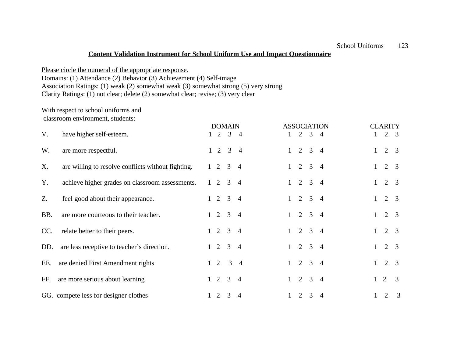### **Content Validation Instrument for School Uniform Use and Impact Questionnaire**

Please circle the numeral of the appropriate response.

Domains: (1) Attendance (2) Behavior (3) Achievement (4) Self-image

Association Ratings: (1) weak (2) somewhat weak (3) somewhat strong (5) very strong

Clarity Ratings: (1) not clear; delete (2) somewhat clear; revise; (3) very clear

# With respect to school uniforms and

classroom environment, students:

|     |                                                    | <b>DOMAIN</b>     |                |              |   |                 | <b>ASSOCIATION</b> |              | <b>CLARITY</b> |                |
|-----|----------------------------------------------------|-------------------|----------------|--------------|---|-----------------|--------------------|--------------|----------------|----------------|
| V.  | have higher self-esteem.                           | $1\quad 2\quad 3$ | $\overline{4}$ |              | 2 | $\overline{3}$  | $\overline{4}$     |              | 2              | - 3            |
| W.  | are more respectful.                               | $1\quad 2\quad 3$ | $\overline{4}$ | $\mathbf{1}$ |   | $2 \t3 \t4$     |                    | $\mathbf{1}$ | $\overline{2}$ | 3              |
| X.  | are willing to resolve conflicts without fighting. | $1 \t2 \t3 \t4$   |                | $\mathbf{1}$ | 2 | $3\quad 4$      |                    | 1            | $\overline{2}$ | $\overline{3}$ |
| Y.  | achieve higher grades on classroom assessments.    | $1 \t2 \t3 \t4$   |                |              |   | $1 \t2 \t3 \t4$ |                    | $\mathbf{1}$ | 2              | -3             |
| Z.  | feel good about their appearance.                  | $1 \t2 \t3 \t4$   |                |              |   | $1 \t2 \t3 \t4$ |                    | $\mathbf{1}$ | $2 \quad 3$    |                |
| BB. | are more courteous to their teacher.               | $1 \t2 \t3 \t4$   |                |              | 2 | $\overline{3}$  | $\overline{4}$     |              | $2 \quad 3$    |                |
| CC. | relate better to their peers.                      | $1 \t2 \t3 \t4$   |                |              |   | $1 \t2 \t3 \t4$ |                    | $\mathbf{1}$ | $2 \quad 3$    |                |
| DD. | are less receptive to teacher's direction.         | $1 \t2 \t3 \t4$   |                |              |   | $1 \t2 \t3 \t4$ |                    | $\mathbf{1}$ | 2              | - 3            |
| EE. | are denied First Amendment rights                  | $1 \t2 \t3 \t4$   |                | 1            |   | $2 \t3 \t4$     |                    |              | 2              | 3              |
| FF. | are more serious about learning                    | $1\quad 2\quad 3$ | $\overline{4}$ | $\mathbf{1}$ | 2 | $\overline{3}$  | $\overline{4}$     | $\mathbf{1}$ | 2              | $\overline{3}$ |
|     | GG. compete less for designer clothes              | $1\quad 2\quad 3$ | $\overline{4}$ |              | 2 | 3               | $\overline{4}$     |              | 2              | $\overline{3}$ |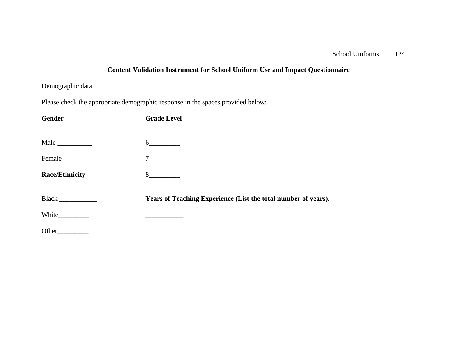# **Content Validation Instrument for School Uniform Use and Impact Questionnaire**

## Demographic data

Please check the appropriate demographic response in the spaces provided below:

| Gender                | <b>Grade Level</b>                                             |
|-----------------------|----------------------------------------------------------------|
| Male                  | $6\overline{6}$                                                |
| Female                | $7\overline{ }$                                                |
| <b>Race/Ethnicity</b> | 8                                                              |
|                       | Years of Teaching Experience (List the total number of years). |
|                       |                                                                |
| Other                 |                                                                |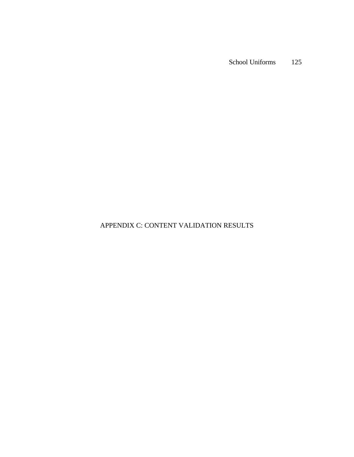## APPENDIX C: CONTENT VALIDATION RESULTS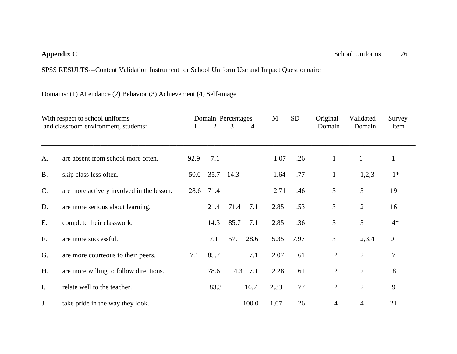## SPSS RESULTS---Content Validation Instrument for School Uniform Use and Impact Questionnaire

Domains: (1) Attendance (2) Behavior (3) Achievement (4) Self-image

|                | With respect to school uniforms           |      |      | Domain Percentages | M    | <b>SD</b> | Original       | Validated      | Survey           |
|----------------|-------------------------------------------|------|------|--------------------|------|-----------|----------------|----------------|------------------|
|                | and classroom environment, students:      |      | 2    | 3<br>4             |      |           | Domain         | Domain         | Item             |
|                |                                           |      |      |                    |      |           |                |                |                  |
| A.             | are absent from school more often.        | 92.9 | 7.1  |                    | 1.07 | .26       | $\mathbf{1}$   | $\mathbf{1}$   | $\mathbf{1}$     |
| <b>B.</b>      | skip class less often.                    | 50.0 | 35.7 | 14.3               | 1.64 | .77       | $\mathbf{1}$   | 1,2,3          | $1*$             |
| $\mathbf{C}$ . | are more actively involved in the lesson. | 28.6 | 71.4 |                    | 2.71 | .46       | 3              | 3              | 19               |
| D.             | are more serious about learning.          |      | 21.4 | 7.1<br>71.4        | 2.85 | .53       | 3              | $\overline{2}$ | 16               |
| Ε.             | complete their classwork.                 |      | 14.3 | 85.7<br>7.1        | 2.85 | .36       | 3              | $\mathfrak{Z}$ | $4*$             |
| F.             | are more successful.                      |      | 7.1  | 28.6<br>57.1       | 5.35 | 7.97      | 3              | 2,3,4          | $\boldsymbol{0}$ |
| G.             | are more courteous to their peers.        | 7.1  | 85.7 | 7.1                | 2.07 | .61       | $\overline{2}$ | $\overline{2}$ | $\tau$           |
| H.             | are more willing to follow directions.    |      | 78.6 | 14.3<br>7.1        | 2.28 | .61       | $\overline{2}$ | $\overline{2}$ | 8                |
| $\mathbf{I}$ . | relate well to the teacher.               |      | 83.3 | 16.7               | 2.33 | .77       | $\overline{2}$ | $\overline{2}$ | 9                |
| J.             | take pride in the way they look.          |      |      | 100.0              | 1.07 | .26       | 4              | $\overline{4}$ | 21               |

\_\_\_\_\_\_\_\_\_\_\_\_\_\_\_\_\_\_\_\_\_\_\_\_\_\_\_\_\_\_\_\_\_\_\_\_\_\_\_\_\_\_\_\_\_\_\_\_\_\_\_\_\_\_\_\_\_\_\_\_\_\_\_\_\_\_\_\_\_\_\_\_\_\_\_\_\_\_\_\_\_\_\_\_\_\_\_\_\_\_\_\_\_\_\_\_\_\_\_\_\_\_\_\_\_\_\_\_

\_\_\_\_\_\_\_\_\_\_\_\_\_\_\_\_\_\_\_\_\_\_\_\_\_\_\_\_\_\_\_\_\_\_\_\_\_\_\_\_\_\_\_\_\_\_\_\_\_\_\_\_\_\_\_\_\_\_\_\_\_\_\_\_\_\_\_\_\_\_\_\_\_\_\_\_\_\_\_\_\_\_\_\_\_\_\_\_\_\_\_\_\_\_\_\_\_\_\_\_\_\_\_\_\_\_\_\_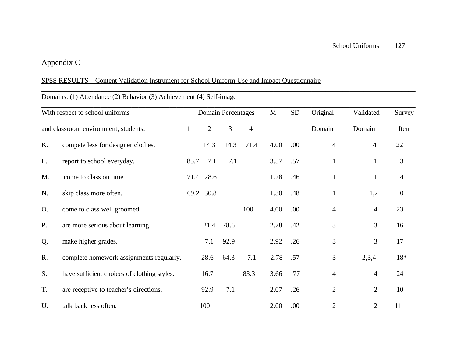# Appendix C

## SPSS RESULTS---Content Validation Instrument for School Uniform Use and Impact Questionnaire

|    | Domains: (1) Attendance (2) Behavior (3) Achievement (4) Self-image |              |                |                           |                |              |            |                |                |                  |
|----|---------------------------------------------------------------------|--------------|----------------|---------------------------|----------------|--------------|------------|----------------|----------------|------------------|
|    | With respect to school uniforms                                     |              |                | <b>Domain Percentages</b> |                | $\mathbf{M}$ | ${\rm SD}$ | Original       | Validated      | Survey           |
|    | and classroom environment, students:                                | $\mathbf{1}$ | $\overline{2}$ | $\overline{3}$            | $\overline{4}$ |              |            | Domain         | Domain         | Item             |
| K. | compete less for designer clothes.                                  |              | 14.3           | 14.3                      | 71.4           | 4.00         | .00        | $\overline{4}$ | $\overline{4}$ | 22               |
| L. | report to school everyday.                                          | 85.7         | 7.1            | 7.1                       |                | 3.57         | .57        | $\mathbf{1}$   | $\mathbf{1}$   | 3                |
| M. | come to class on time                                               |              | 71.4 28.6      |                           |                | 1.28         | .46        | $\mathbf{1}$   | $\mathbf{1}$   | $\overline{4}$   |
| N. | skip class more often.                                              |              | 69.2 30.8      |                           |                | 1.30         | .48        | $\mathbf{1}$   | 1,2            | $\boldsymbol{0}$ |
| O. | come to class well groomed.                                         |              |                |                           | 100            | 4.00         | .00        | $\overline{4}$ | $\overline{4}$ | 23               |
| P. | are more serious about learning.                                    |              | 21.4           | 78.6                      |                | 2.78         | .42        | 3              | 3              | 16               |
| Q. | make higher grades.                                                 |              | 7.1            | 92.9                      |                | 2.92         | .26        | 3              | 3              | 17               |
| R. | complete homework assignments regularly.                            |              | 28.6           | 64.3                      | 7.1            | 2.78         | .57        | 3              | 2,3,4          | $18*$            |
| S. | have sufficient choices of clothing styles.                         |              | 16.7           |                           | 83.3           | 3.66         | .77        | $\overline{4}$ | 4              | 24               |
| T. | are receptive to teacher's directions.                              |              | 92.9           | 7.1                       |                | 2.07         | .26        | $\mathfrak{2}$ | $\overline{2}$ | 10               |
| U. | talk back less often.                                               |              | 100            |                           |                | 2.00         | .00        | $\overline{2}$ | $\overline{2}$ | 11               |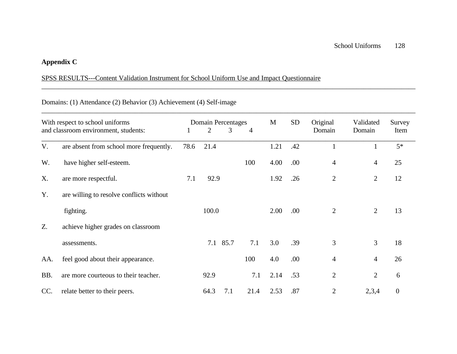## **Appendix C**

# SPSS RESULTS---Content Validation Instrument for School Uniform Use and Impact Questionnaire

## Domains: (1) Attendance (2) Behavior (3) Achievement (4) Self-image

| With respect to school uniforms<br>and classroom environment, students: |                                          | Domain Percentages<br>$\overline{2}$<br>3<br>1 |       |          | $\overline{4}$ | M    | <b>SD</b> | Original<br>Domain | Validated<br>Domain | Survey<br>Item |
|-------------------------------------------------------------------------|------------------------------------------|------------------------------------------------|-------|----------|----------------|------|-----------|--------------------|---------------------|----------------|
| V.                                                                      | are absent from school more frequently.  | 78.6                                           | 21.4  |          |                | 1.21 | .42       |                    |                     | $5*$           |
| W.                                                                      | have higher self-esteem.                 |                                                |       |          | 100            | 4.00 | .00.      | $\overline{4}$     | 4                   | 25             |
| X.                                                                      | are more respectful.                     | 7.1                                            | 92.9  |          |                | 1.92 | .26       | $\overline{2}$     | $\overline{2}$      | 12             |
| Y.                                                                      | are willing to resolve conflicts without |                                                |       |          |                |      |           |                    |                     |                |
|                                                                         | fighting.                                |                                                | 100.0 |          |                | 2.00 | .00.      | $\overline{2}$     | 2                   | 13             |
| Z.                                                                      | achieve higher grades on classroom       |                                                |       |          |                |      |           |                    |                     |                |
|                                                                         | assessments.                             |                                                |       | 7.1 85.7 | 7.1            | 3.0  | .39       | 3                  | 3                   | 18             |
| AA.                                                                     | feel good about their appearance.        |                                                |       |          | 100            | 4.0  | .00       | $\overline{4}$     | 4                   | 26             |
| BB.                                                                     | are more courteous to their teacher.     |                                                | 92.9  |          | 7.1            | 2.14 | .53       | $\overline{2}$     | $\overline{2}$      | 6              |
| CC.                                                                     | relate better to their peers.            |                                                | 64.3  | 7.1      | 21.4           | 2.53 | .87       | $\overline{2}$     | 2,3,4               | $\overline{0}$ |

\_\_\_\_\_\_\_\_\_\_\_\_\_\_\_\_\_\_\_\_\_\_\_\_\_\_\_\_\_\_\_\_\_\_\_\_\_\_\_\_\_\_\_\_\_\_\_\_\_\_\_\_\_\_\_\_\_\_\_\_\_\_\_\_\_\_\_\_\_\_\_\_\_\_\_\_\_\_\_\_\_\_\_\_\_\_\_\_\_\_\_\_\_\_\_\_\_\_\_\_\_\_\_\_\_\_\_\_

\_\_\_\_\_\_\_\_\_\_\_\_\_\_\_\_\_\_\_\_\_\_\_\_\_\_\_\_\_\_\_\_\_\_\_\_\_\_\_\_\_\_\_\_\_\_\_\_\_\_\_\_\_\_\_\_\_\_\_\_\_\_\_\_\_\_\_\_\_\_\_\_\_\_\_\_\_\_\_\_\_\_\_\_\_\_\_\_\_\_\_\_\_\_\_\_\_\_\_\_\_\_\_\_\_\_\_\_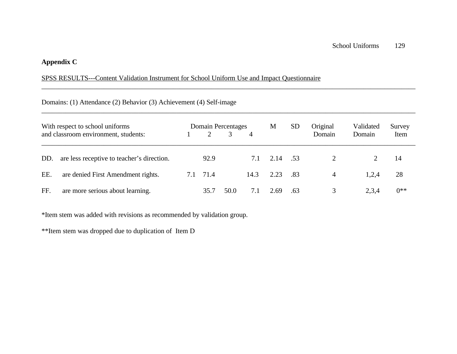## **Appendix C**

## SPSS RESULTS---Content Validation Instrument for School Uniform Use and Impact Questionnaire

## Domains: (1) Attendance (2) Behavior (3) Achievement (4) Self-image

|     | With respect to school uniforms<br>and classroom environment, students: |     | 2    | Domain Percentages | $\overline{A}$ | M        | <b>SD</b> | Original<br>Domain | Validated<br>Domain | Survey<br>Item |
|-----|-------------------------------------------------------------------------|-----|------|--------------------|----------------|----------|-----------|--------------------|---------------------|----------------|
| DD. | are less receptive to teacher's direction.                              |     | 92.9 |                    | 7.1            | 2.14 .53 |           |                    |                     | 14             |
| EE. | are denied First Amendment rights.                                      | 7.1 | 71.4 |                    | 14.3           | 2.23     | -.83      | $\overline{4}$     | 1,2,4               | 28             |
| FF. | are more serious about learning.                                        |     | 35.7 | 50.0               | 7.1            | 2.69     | .63       | 3                  | 2,3,4               | $0***$         |

\_\_\_\_\_\_\_\_\_\_\_\_\_\_\_\_\_\_\_\_\_\_\_\_\_\_\_\_\_\_\_\_\_\_\_\_\_\_\_\_\_\_\_\_\_\_\_\_\_\_\_\_\_\_\_\_\_\_\_\_\_\_\_\_\_\_\_\_\_\_\_\_\_\_\_\_\_\_\_\_\_\_\_\_\_\_\_\_\_\_\_\_\_\_\_\_\_\_\_\_\_\_\_\_\_\_\_\_

\_\_\_\_\_\_\_\_\_\_\_\_\_\_\_\_\_\_\_\_\_\_\_\_\_\_\_\_\_\_\_\_\_\_\_\_\_\_\_\_\_\_\_\_\_\_\_\_\_\_\_\_\_\_\_\_\_\_\_\_\_\_\_\_\_\_\_\_\_\_\_\_\_\_\_\_\_\_\_\_\_\_\_\_\_\_\_\_\_\_\_\_\_\_\_\_\_\_\_\_\_\_\_\_\_\_\_\_

\*Item stem was added with revisions as recommended by validation group.

\*\*Item stem was dropped due to duplication of Item D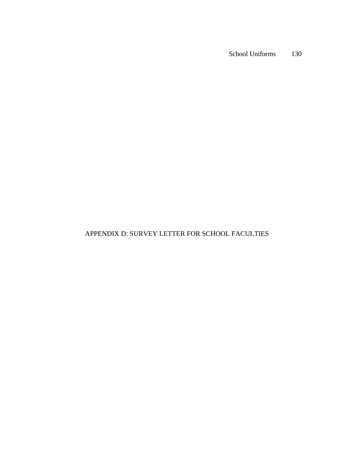## APPENDIX D: SURVEY LETTER FOR SCHOOL FACULTIES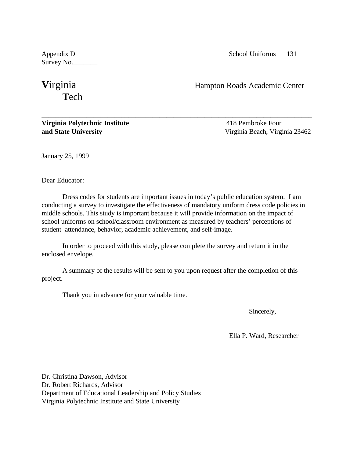Survey No.

# **Virginia** Hampton Roads Academic Center **T**ech

**Virginia Polytechnic Institute** 418 Pembroke Four **and State University** Virginia Beach, Virginia 23462

January 25, 1999

Dear Educator:

Dress codes for students are important issues in today's public education system. I am conducting a survey to investigate the effectiveness of mandatory uniform dress code policies in middle schools. This study is important because it will provide information on the impact of school uniforms on school/classroom environment as measured by teachers' perceptions of student attendance, behavior, academic achievement, and self-image.

\_\_\_\_\_\_\_\_\_\_\_\_\_\_\_\_\_\_\_\_\_\_\_\_\_\_\_\_\_\_\_\_\_\_\_\_\_\_\_\_\_\_\_\_\_\_\_\_\_\_\_\_\_\_\_\_\_\_\_\_\_\_\_\_\_\_\_\_\_\_\_\_\_\_\_\_\_\_

In order to proceed with this study, please complete the survey and return it in the enclosed envelope.

A summary of the results will be sent to you upon request after the completion of this project.

Thank you in advance for your valuable time.

Sincerely,

Ella P. Ward, Researcher

Dr. Christina Dawson, Advisor Dr. Robert Richards, Advisor Department of Educational Leadership and Policy Studies Virginia Polytechnic Institute and State University

Appendix D School Uniforms 131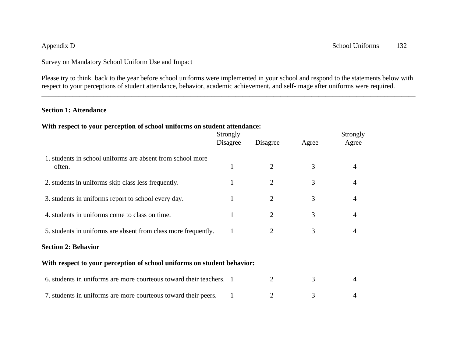Please try to think back to the year before school uniforms were implemented in your school and respond to the statements below with respect to your perceptions of student attendance, behavior, academic achievement, and self-image after uniforms were required.

**\_\_\_\_\_\_\_\_\_\_\_\_\_\_\_\_\_\_\_\_\_\_\_\_\_\_\_\_\_\_\_\_\_\_\_\_\_\_\_\_\_\_\_\_\_\_\_\_\_\_\_\_\_\_\_\_\_\_\_\_\_\_\_\_\_\_\_\_\_\_\_\_\_\_\_\_\_\_\_\_\_\_\_\_\_\_\_\_\_\_\_\_\_\_\_\_\_\_\_\_\_\_\_\_\_\_\_\_**

### **Section 1: Attendance**

### **With respect to your perception of school uniforms on student attendance:**

|                                                                         | Strongly<br>Disagree | Disagree       | Agree | Strongly<br>Agree |
|-------------------------------------------------------------------------|----------------------|----------------|-------|-------------------|
| 1. students in school uniforms are absent from school more<br>often.    | $\mathbf{1}$         | 2              | 3     | 4                 |
| 2. students in uniforms skip class less frequently.                     |                      | $\overline{2}$ | 3     | 4                 |
| 3. students in uniforms report to school every day.                     |                      | $\overline{2}$ | 3     | 4                 |
| 4. students in uniforms come to class on time.                          |                      | $\overline{2}$ | 3     | 4                 |
| 5. students in uniforms are absent from class more frequently.          |                      | 2              | 3     | 4                 |
| <b>Section 2: Behavior</b>                                              |                      |                |       |                   |
| With respect to your perception of school uniforms on student behavior: |                      |                |       |                   |
| 6. students in uniforms are more courteous toward their teachers. 1     |                      | 2              | 3     | 4                 |
| 7. students in uniforms are more courteous toward their peers.          |                      | 2              | 3     |                   |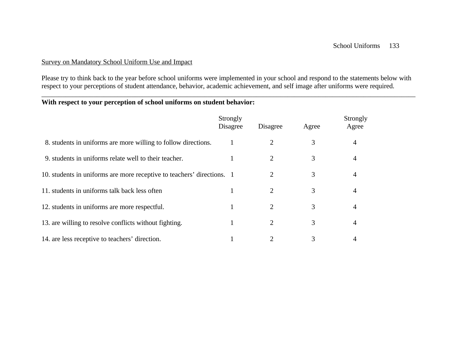Please try to think back to the year before school uniforms were implemented in your school and respond to the statements below with respect to your perceptions of student attendance, behavior, academic achievement, and self image after uniforms were required.

\_\_\_\_\_\_\_\_\_\_\_\_\_\_\_\_\_\_\_\_\_\_\_\_\_\_\_\_\_\_\_\_\_\_\_\_\_\_\_\_\_\_\_\_\_\_\_\_\_\_\_\_\_\_\_\_\_\_\_\_\_\_\_\_\_\_\_\_\_\_\_\_\_\_\_\_\_\_\_\_\_\_\_\_\_\_\_\_\_\_\_\_\_\_\_\_\_\_\_\_\_\_\_\_\_\_\_\_

### **With respect to your perception of school uniforms on student behavior:**

|                                                                        | Strongly<br>Disagree | Disagree | Agree | Strongly<br>Agree |
|------------------------------------------------------------------------|----------------------|----------|-------|-------------------|
| 8. students in uniforms are more willing to follow directions.         |                      | 2        | 3     | $\overline{4}$    |
| 9. students in uniforms relate well to their teacher.                  |                      | 2        | 3     | 4                 |
| 10. students in uniforms are more receptive to teachers' directions. 1 |                      | 2        | 3     | 4                 |
| 11. students in uniforms talk back less often                          |                      | 2        | 3     | 4                 |
| 12. students in uniforms are more respectful.                          |                      | 2        | 3     | $\overline{4}$    |
| 13. are willing to resolve conflicts without fighting.                 |                      | 2        | 3     | 4                 |
| 14. are less receptive to teachers' direction.                         |                      |          | 3     | 4                 |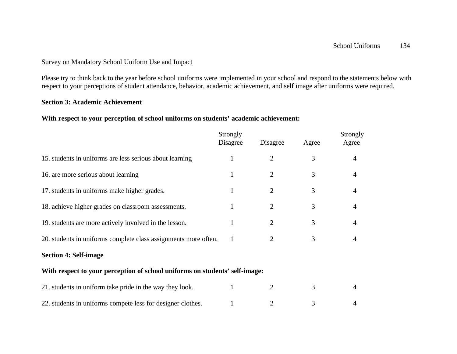Please try to think back to the year before school uniforms were implemented in your school and respond to the statements below with respect to your perceptions of student attendance, behavior, academic achievement, and self image after uniforms were required.

### **Section 3: Academic Achievement**

### **With respect to your perception of school uniforms on students' academic achievement:**

|                                                                             | Strongly<br>Disagree | Disagree       | Agree | Strongly<br>Agree |
|-----------------------------------------------------------------------------|----------------------|----------------|-------|-------------------|
| 15. students in uniforms are less serious about learning                    | 1                    | $\overline{2}$ | 3     | $\overline{4}$    |
| 16. are more serious about learning                                         | 1                    | 2              | 3     | 4                 |
| 17. students in uniforms make higher grades.                                | 1                    | $\overline{2}$ | 3     | 4                 |
| 18. achieve higher grades on classroom assessments.                         | 1                    | $\overline{2}$ | 3     | 4                 |
| 19. students are more actively involved in the lesson.                      |                      | 2              | 3     | 4                 |
| 20. students in uniforms complete class assignments more often.             | 1                    | 2              | 3     | 4                 |
| <b>Section 4: Self-image</b>                                                |                      |                |       |                   |
| With respect to your perception of school uniforms on students' self-image: |                      |                |       |                   |
| 21. students in uniform take pride in the way they look.                    | 1                    | 2              | 3     | 4                 |
| 22. students in uniforms compete less for designer clothes.                 |                      |                | 3     |                   |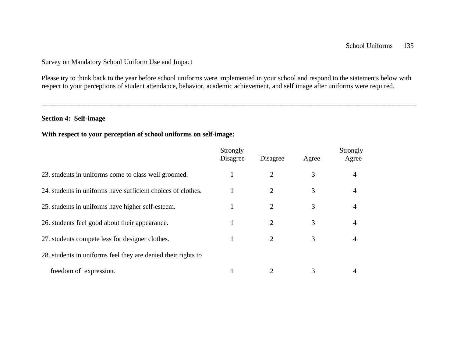Please try to think back to the year before school uniforms were implemented in your school and respond to the statements below with respect to your perceptions of student attendance, behavior, academic achievement, and self image after uniforms were required.

**\_\_\_\_\_\_\_\_\_\_\_\_\_\_\_\_\_\_\_\_\_\_\_\_\_\_\_\_\_\_\_\_\_\_\_\_\_\_\_\_\_\_\_\_\_\_\_\_\_\_\_\_\_\_\_\_\_\_\_\_\_\_\_\_\_\_\_\_\_\_\_\_\_\_\_\_\_\_\_\_\_\_\_\_\_\_\_\_\_\_\_\_\_\_\_\_\_\_\_\_\_\_\_\_\_\_\_\_**

### **Section 4: Self-image**

### **With respect to your perception of school uniforms on self-image:**

|                                                               | Strongly<br>Disagree | Disagree | Agree | Strongly<br>Agree |
|---------------------------------------------------------------|----------------------|----------|-------|-------------------|
| 23. students in uniforms come to class well groomed.          |                      | 2        | 3     | 4                 |
| 24. students in uniforms have sufficient choices of clothes.  |                      | 2        | 3     | 4                 |
| 25. students in uniforms have higher self-esteem.             |                      | 2        | 3     | 4                 |
| 26. students feel good about their appearance.                | 1                    | 2        | 3     | 4                 |
| 27. students compete less for designer clothes.               |                      | 2        | 3     | $\overline{4}$    |
| 28. students in uniforms feel they are denied their rights to |                      |          |       |                   |
| freedom of expression.                                        |                      |          | 3     | 4                 |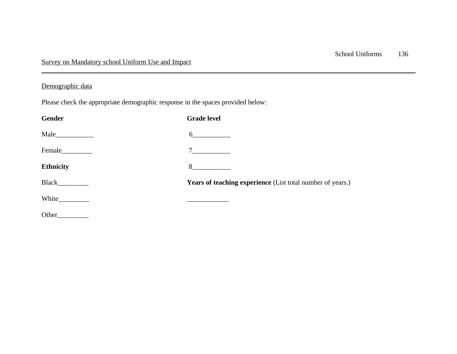## Demographic data

Please check the appropriate demographic response in the spaces provided below:

| Gender           | <b>Grade level</b>                                         |
|------------------|------------------------------------------------------------|
|                  | $6 \qquad \qquad$                                          |
|                  | $7 \qquad \qquad \boxed{\qquad \qquad }$                   |
| <b>Ethnicity</b> | 8                                                          |
|                  | Years of teaching experience (List total number of years.) |
|                  |                                                            |
| Other            |                                                            |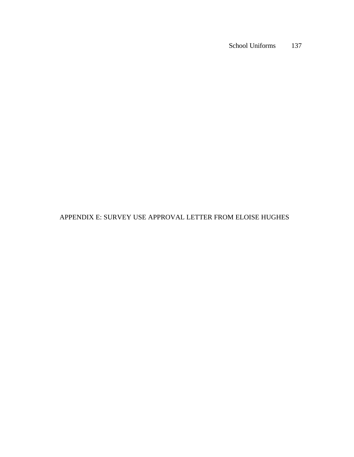APPENDIX E: SURVEY USE APPROVAL LETTER FROM ELOISE HUGHES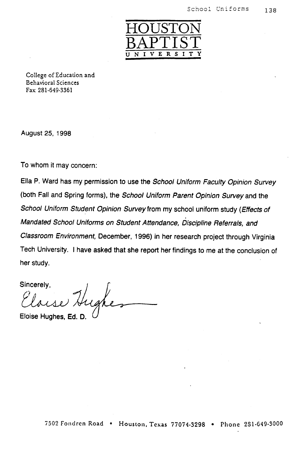

College of Education and **Behavioral Sciences** Fax 281-649-3361

August 25, 1998

To whom it may concern:

Ella P. Ward has my permission to use the School Uniform Faculty Opinion Survey (both Fall and Spring forms), the School Uniform Parent Opinion Survey and the School Uniform Student Opinion Survey from my school uniform study (Effects of Mandated School Uniforms on Student Attendance, Discipline Referrals, and Classroom Environment, December, 1996) in her research project through Virginia Tech University. I have asked that she report her findings to me at the conclusion of her study.

Sincerely, ughes

Eloise Hughes, Ed.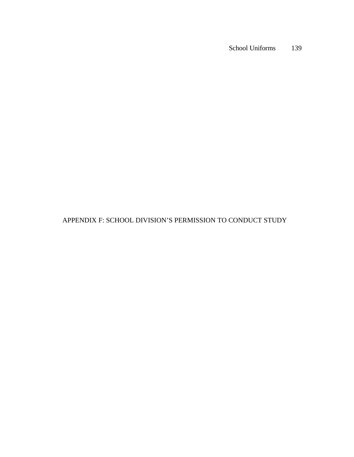## APPENDIX F: SCHOOL DIVISION'S PERMISSION TO CONDUCT STUDY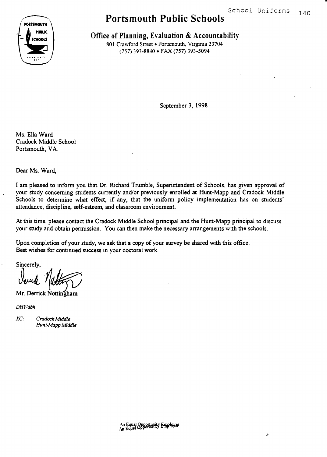$\ddot{\phantom{0}}$ 



# **Portsmouth Public Schools**

Office of Planning, Evaluation & Accountability

801 Crawford Street . Portsmouth, Virginia 23704 (757) 393-8840 · FAX (757) 393-5094

September 3, 1998

Ms. Ella Ward Cradock Middle School Portsmouth, VA.

Dear Ms. Ward.

I am pleased to inform you that Dr. Richard Trumble, Superintendent of Schools, has given approval of your study concerning students currently and/or previously enrolled at Hunt-Mapp and Cradock Middle Schools to determine what effect, if any, that the uniform policy implementation has on students' attendance, discipline, self-esteem, and classroom environment.

At this time, please contact the Cradock Middle School principal and the Hunt-Mapp principal to discuss your study and obtain permission. You can then make the necessary arrangements with the schools.

Upon completion of your study, we ask that a copy of your survey be shared with this office. Best wishes for continued success in your doctoral work.

Sincerely,

Mr. Derrick Nottingham

 $DHY/dbh$ 

 $XC$ Cradock Middle Hunt-Mapp Middle

An Equal Opportunity Employer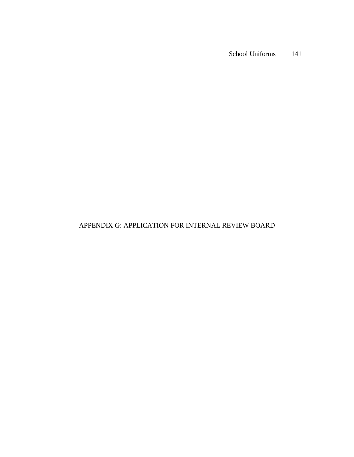## APPENDIX G: APPLICATION FOR INTERNAL REVIEW BOARD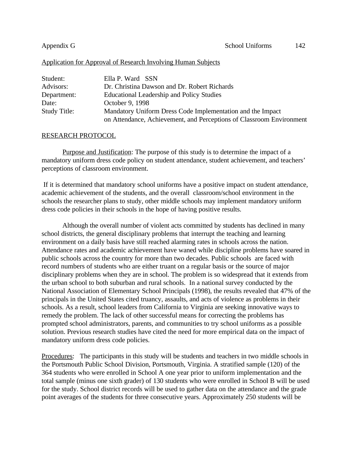### Application for Approval of Research Involving Human Subjects

| Student:     | Ella P. Ward SSN                                                     |
|--------------|----------------------------------------------------------------------|
| Advisors:    | Dr. Christina Dawson and Dr. Robert Richards                         |
| Department:  | Educational Leadership and Policy Studies                            |
| Date:        | October 9, 1998                                                      |
| Study Title: | Mandatory Uniform Dress Code Implementation and the Impact           |
|              | on Attendance, Achievement, and Perceptions of Classroom Environment |

### RESEARCH PROTOCOL

Purpose and Justification: The purpose of this study is to determine the impact of a mandatory uniform dress code policy on student attendance, student achievement, and teachers' perceptions of classroom environment.

 If it is determined that mandatory school uniforms have a positive impact on student attendance, academic achievement of the students, and the overall classroom/school environment in the schools the researcher plans to study, other middle schools may implement mandatory uniform dress code policies in their schools in the hope of having positive results.

Although the overall number of violent acts committed by students has declined in many school districts, the general disciplinary problems that interrupt the teaching and learning environment on a daily basis have still reached alarming rates in schools across the nation. Attendance rates and academic achievement have waned while discipline problems have soared in public schools across the country for more than two decades. Public schools are faced with record numbers of students who are either truant on a regular basis or the source of major disciplinary problems when they are in school. The problem is so widespread that it extends from the urban school to both suburban and rural schools. In a national survey conducted by the National Association of Elementary School Principals (1998), the results revealed that 47% of the principals in the United States cited truancy, assaults, and acts of violence as problems in their schools. As a result, school leaders from California to Virginia are seeking innovative ways to remedy the problem. The lack of other successful means for correcting the problems has prompted school administrators, parents, and communities to try school uniforms as a possible solution. Previous research studies have cited the need for more empirical data on the impact of mandatory uniform dress code policies.

Procedures: The participants in this study will be students and teachers in two middle schools in the Portsmouth Public School Division, Portsmouth, Virginia. A stratified sample (120) of the 364 students who were enrolled in School A one year prior to uniform implementation and the total sample (minus one sixth grader) of 130 students who were enrolled in School B will be used for the study. School district records will be used to gather data on the attendance and the grade point averages of the students for three consecutive years. Approximately 250 students will be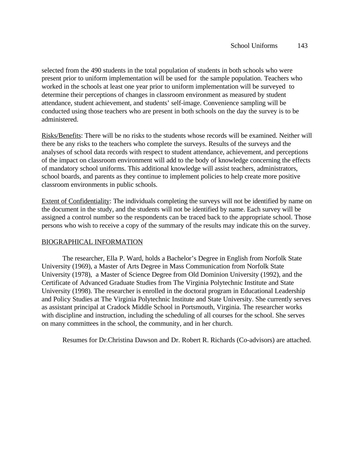selected from the 490 students in the total population of students in both schools who were present prior to uniform implementation will be used for the sample population. Teachers who worked in the schools at least one year prior to uniform implementation will be surveyed to determine their perceptions of changes in classroom environment as measured by student attendance, student achievement, and students' self-image. Convenience sampling will be conducted using those teachers who are present in both schools on the day the survey is to be administered.

Risks/Benefits: There will be no risks to the students whose records will be examined. Neither will there be any risks to the teachers who complete the surveys. Results of the surveys and the analyses of school data records with respect to student attendance, achievement, and perceptions of the impact on classroom environment will add to the body of knowledge concerning the effects of mandatory school uniforms. This additional knowledge will assist teachers, administrators, school boards, and parents as they continue to implement policies to help create more positive classroom environments in public schools.

Extent of Confidentiality: The individuals completing the surveys will not be identified by name on the document in the study, and the students will not be identified by name. Each survey will be assigned a control number so the respondents can be traced back to the appropriate school. Those persons who wish to receive a copy of the summary of the results may indicate this on the survey.

### BIOGRAPHICAL INFORMATION

The researcher, Ella P. Ward, holds a Bachelor's Degree in English from Norfolk State University (1969), a Master of Arts Degree in Mass Communication from Norfolk State University (1978), a Master of Science Degree from Old Dominion University (1992), and the Certificate of Advanced Graduate Studies from The Virginia Polytechnic Institute and State University (1998). The researcher is enrolled in the doctoral program in Educational Leadership and Policy Studies at The Virginia Polytechnic Institute and State University. She currently serves as assistant principal at Cradock Middle School in Portsmouth, Virginia. The researcher works with discipline and instruction, including the scheduling of all courses for the school. She serves on many committees in the school, the community, and in her church.

Resumes for Dr.Christina Dawson and Dr. Robert R. Richards (Co-advisors) are attached.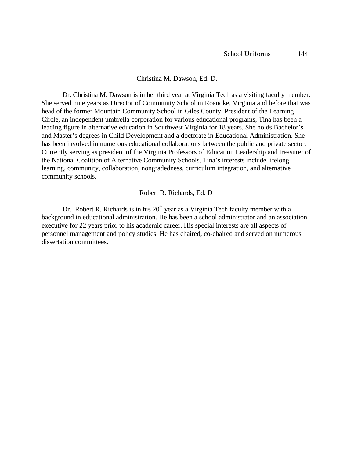### Christina M. Dawson, Ed. D.

Dr. Christina M. Dawson is in her third year at Virginia Tech as a visiting faculty member. She served nine years as Director of Community School in Roanoke, Virginia and before that was head of the former Mountain Community School in Giles County. President of the Learning Circle, an independent umbrella corporation for various educational programs, Tina has been a leading figure in alternative education in Southwest Virginia for 18 years. She holds Bachelor's and Master's degrees in Child Development and a doctorate in Educational Administration. She has been involved in numerous educational collaborations between the public and private sector. Currently serving as president of the Virginia Professors of Education Leadership and treasurer of the National Coalition of Alternative Community Schools, Tina's interests include lifelong learning, community, collaboration, nongradedness, curriculum integration, and alternative community schools.

### Robert R. Richards, Ed. D

Dr. Robert R. Richards is in his  $20<sup>th</sup>$  year as a Virginia Tech faculty member with a background in educational administration. He has been a school administrator and an association executive for 22 years prior to his academic career. His special interests are all aspects of personnel management and policy studies. He has chaired, co-chaired and served on numerous dissertation committees.